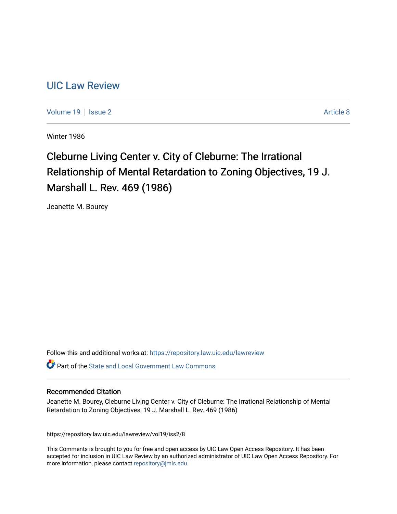## [UIC Law Review](https://repository.law.uic.edu/lawreview)

[Volume 19](https://repository.law.uic.edu/lawreview/vol19) | [Issue 2](https://repository.law.uic.edu/lawreview/vol19/iss2) Article 8

Winter 1986

# Cleburne Living Center v. City of Cleburne: The Irrational Relationship of Mental Retardation to Zoning Objectives, 19 J. Marshall L. Rev. 469 (1986)

Jeanette M. Bourey

Follow this and additional works at: [https://repository.law.uic.edu/lawreview](https://repository.law.uic.edu/lawreview?utm_source=repository.law.uic.edu%2Flawreview%2Fvol19%2Fiss2%2F8&utm_medium=PDF&utm_campaign=PDFCoverPages) 

Part of the [State and Local Government Law Commons](http://network.bepress.com/hgg/discipline/879?utm_source=repository.law.uic.edu%2Flawreview%2Fvol19%2Fiss2%2F8&utm_medium=PDF&utm_campaign=PDFCoverPages)

#### Recommended Citation

Jeanette M. Bourey, Cleburne Living Center v. City of Cleburne: The Irrational Relationship of Mental Retardation to Zoning Objectives, 19 J. Marshall L. Rev. 469 (1986)

https://repository.law.uic.edu/lawreview/vol19/iss2/8

This Comments is brought to you for free and open access by UIC Law Open Access Repository. It has been accepted for inclusion in UIC Law Review by an authorized administrator of UIC Law Open Access Repository. For more information, please contact [repository@jmls.edu.](mailto:repository@jmls.edu)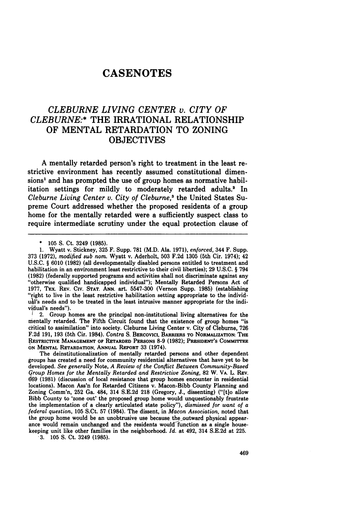## **CASENOTES**

### *CLEBURNE LIVING CENTER v. CITY OF CLEBURNE:\** THE IRRATIONAL RELATIONSHIP OF **MENTAL** RETARDATION TO ZONING **OBJECTIVES**

**A** mentally retarded person's right to treatment in the least restrictive environment has recently assumed constitutional dimensions' and has prompted the use of group homes as normative habilitation settings for mildly to moderately retarded adults? In *Cleburne Living Center v. City of Cleburne,'* the United States Supreme Court addressed whether the proposed residents of a group home for the mentally retarded were a sufficiently suspect class to require intermediate scrutiny under the equal protection clause of

2. Group homes are the principal non-institutional living alternatives for the mentally retarded. The Fifth Circuit found that the existence of group homes "is critical to assimilation" into society. Cleburne Living Center v. City of Cleburne, **726 F.2d 191, 193** (5th Cir. 1984). Contra **S.** BERcovIci, BARRIERS TO **NORMALIZATION:** THE RESTRICTIVE **MANAGEMENT** OF RETARDED PERSONS **8-9 (1982); PRESIDENT'S COMMITrEE ON MENTAL** RETARDATION, ANNUAL REPORT **33** (1974).

The deinstitutionalization of mentally retarded persons and other dependent groups has created a need for community residential alternatives that have yet to be developed. *See generally* Note, *A Review of the Conflict Between Community-Based qroup Homes for the Mentally Retarded and Restrictive Zoning,* **82** W. VA. L. REv. **69 (1981)** (discussion of local resistance that group homes encounter in residential locations). Macon Ass'n for Retarded Citizens v. Macon-Bibb County Planning and Zoning Comm'n, **252** Ga. 484, 314 **S.E.2d 218** (Gregory, **J.,** dissenting) ("[t]o allow Bibb County to 'zone out' the proposed group home would unquestionably frustrate the implementation of a clearly articulated state policy"), *dismissed for want of a federal question,* **105** S.Ct. **57** (1984). The dissent, in *Macon Association,* noted that the group home would be an unobtrusive use because the-outward physical appearance would remain unchanged and the residents would-function as a single housekeeping unit like other families in the neighborhood. *Id.* at 492, 314 **S.E.2d** at **225.**

**3. 105 S.** Ct. 3249 **(1985).**

**<sup>\*</sup> 105 S.** Ct. 3249 **(1985).**

**<sup>1.</sup>** Wyatt v. Stickney, **325** F. Supp. **781** (M.D. Ala. **1971),** *enforced,* 344 F. Supp. **373 (1972),** *modified sub nom.* Wyatt v. Aderholt, **503 F.2d 1305** (5th Cir. 1974); 42 **U.S.C.** § **6010 (1982)** (all developmentally disabled persons entitled to treatment and habilitation in an environment least restrictive to their civil liberties); **29 U.S.C.** § 794 **(1982)** (federally supported programs and activities shall not discriminate against any "otherwise qualified handicapped individual"); Mentally Retarded Persons Act of **1977,** TEx. **REV.** Civ. **STAT. ANN.** art. **5547-300** (Vernon Supp. **1985)** (establishing "right to live in the least restrictive habilitation setting appropriate to the individ**ul's** needs and **to** be treated in the least intrusive manner appropriate for the individual's needs").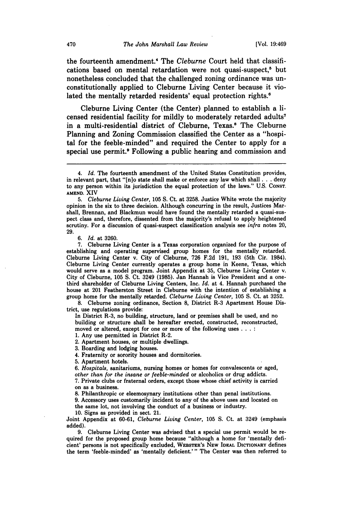the fourteenth amendment.<sup>4</sup> The Cleburne Court held that classifications based on mental retardation were not quasi-suspect,<sup>5</sup> but nonetheless concluded that the challenged zoning ordinance was unconstitutionally applied to Cleburne Living Center because it violated the mentally retarded residents' equal protection rights.<sup>6</sup>

Cleburne Living Center (the Center) planned to establish a licensed residential facility for mildly to moderately retarded adults<sup>7</sup> in a multi-residential district of Cleburne, Texas.<sup>8</sup> The Cleburne Planning and Zoning Commission classified the Center as a "hospital for the feeble-minded" and required the Center to apply for a special use permit.<sup>9</sup> Following a public hearing and commission and

**6.** *Id.* at **3260.**

**7.** Cleburne Living Center is a Texas corporation organized for the purpose of establishing and operating supervised group homes for the mentally retarded. Cleburne Living Center v. City of Cleburne, **726 F.2d 191, 193** (5th Cir. 1984). Cleburne Living Center currently operates a group home in Keene, Texas, **which** would serve as a model program. Joint Appendix at **35,** Cleburne Living Center v. City of Cleburne, **105 S.** Ct. 3249 **(1985).** Jan Hannah is Vice President and a onethird shareholder of Cleburne Living Centers, Inc. *Id.* at 4. Hannah purchased the house at 201 Featherston Street in Cleburne with the intention of establishing a group home for the mentally retarded. *Cleburne Living Center,* **105 S.** Ct. at **3252.**

**8.** Cleburne zoning ordinance, Section **8,** District R-3 Apartment House District, use regulations provide:

In District R-3, no building, structure, land or premises shall be used, and no building or structure shall be hereafter erected, constructed, reconstructed, moved or altered, except for one or more of the following uses **.**

**1.** Any use permitted in District R-2.

2. Apartment houses, or multiple dwellings.

**3.** Boarding and lodging houses.

4. Fraternity or sorority houses and dormitories.

**5.** Apartment hotels.

**6.** *Hospitals,* sanitariums, nursing homes or homes for convalescents or aged, *other than for the insane or feeble-minded* or alcoholics or drug addicts.

**7.** Private clubs or fraternal orders, except those whose chief activity is carried on as a business.

**8.** Philanthropic or eleemosynary institutions other than penal institutions.

**9.** Accessory uses customarily incident to any of the above uses and located on

the same lot, not involving the conduct of a business or industry.

**10.** Signs as provided in sect. 21.

Joint Appendix at **60-61,** *Cleburne Living Center,* **105 S.** Ct. at 3249 (emphasis added).

**9.** Cleburne Living Center was advised that a special use permit would be required for the proposed group home because "although a home for 'mentally deficient' persons is not specifically excluded, **WEBSTER's NEW IDEAL DICTIONARY defines** the term 'feeble-minded' as 'mentally deficient.'" The Center was then referred to

<sup>4.</sup> *Id.* The fourteenth amendment of the United States Constitution provides, in relevant part, that "[n]o state shall make or enforce any law which shall **. . .** deny to any person within its jurisdiction the equal protection of the laws." **U.S. CONST. AMEND.** XIV

**<sup>5.</sup>** *Cleburne Living Center,* **105 S.** Ct. at **3258.** Justice White wrote the majority opinion in the six to three decision. Although concurring in the result, Justices Marshall, Brennan, and Blackmun would have found the mentally retarded a quasi-suspect class and, therefore, dissented from the majority's refusal to apply heightened scrutiny. For a discussion of quasi-suspect classification analysis see *infra* notes 20, **29.**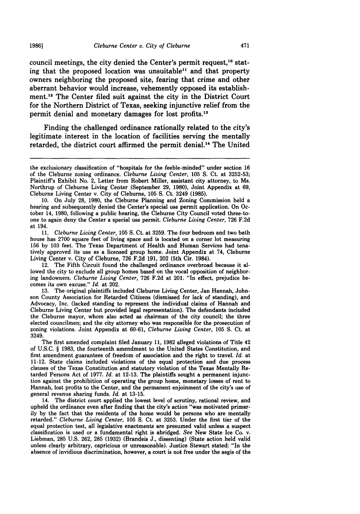council meetings, the city denied the Center's permit request,<sup>10</sup> stating that the proposed location was unsuitable" and that property owners neighboring the proposed site, fearing that crime and other aberrant behavior would increase, vehemently opposed its establishment.<sup>12</sup> The Center filed suit against the city in the District Court for the Northern District of Texas, seeking injunctive relief from the permit denial and monetary damages for lost profits.<sup>13</sup>

Finding the challenged ordinance rationally related to the city's legitimate interest in the location of facilities serving the mentally retarded, the district court affirmed the permit denial." The United

**11.** *Cleburne Living Center,* **105 S.** Ct. at **3259.** The four bedroom and two bath house has 2700 square feet of living space and is located on a corner lot measuring 156 by 103 feet. The Texas Department of Health and Human Services had tenatively approved its use as a licensed group home. Joint Appendix at 74, Cleburne Living Center v. City of Cleburne, 726 F.2d 191, 202 (5th Cir. 1984).

12. The Fifth Circuit found the challenged ordinance overbroad because it allowed the city to exclude all group homes based on the vocal opposition of neighboring landowners. *Cleburne Living Center,* 726 F.2d at 201. "In effect, prejudice becomes its own excuse." *Id.* at 202.

13. The original plaintiffs included Cleburne Living Center, Jan Hannah, Johnson County Association for Retarded Citizens (dismissed for lack of standing), and Advocacy, Inc. (lacked standing to represent the individual claims of Hannah and Cleburne Living Center but provided legal representation). The defendants included the Cleburne mayor, whom also acted as chairman of the city council; the three elected councilmen; and the city attorney who was responsible for the prosecution of zoning violations. Joint Appendix at 60-61, *Cleburne Living Center,* 105 **S.** Ct. at 3249.

The first amended complaint filed January 11, 1982 alleged violations of Title 42 of **U.S.C.** § 1983, the fourteenth amendment to the United States Constitution, and first amendment guarantees of freedom of association and the right to travel. *Id.* at 11-12. State claims included violations of the equal protection and due process clauses of the Texas Constitution and statutory violation of the Texas Mentally Retarded Persons Act of 1977. *Id.* at 12-13. The plaintiffs sought a permanent injunction against the prohibition of operating the group home, monetary losses of rent to Hannah, lost profits to the Center, and the permanent enjoinment of the city's use of general revenue sharing funds. *Id.* at 13-15.

14. The district court applied the lowest level of scrutiny, rational review, and upheld the ordinance even after finding that the city's action "was motivated primarily by the fact that the residents of the home would be persons who are mentally retarded." *Cleburne Living Center,* 105 **S.** Ct. at 3253. Under the first tier of the equal protection test, all legislative enactments are presumed valid unless a suspect classification is used or a fundamental right is abridged. *See* New State Ice Co. v. Liebman, 285 U.S. 262, 285 (1932) (Brandeis J., dissenting) (State action held valid unless clearly arbitrary, capricious or unreasonable). Justice Stewart stated: "In the absence of invidious discrimination, however, a court is not free under the aegis of the

the exclusionary classification of "hospitals for the feeble-minded" under section **16** of the Cleburne zoning ordinance. *Cleburne Living Center,* **105 S.** Ct. at **3252-53;** Plaintiff's Exhibit No. 2, Letter from Robert Miller, assistant city attorney, to Ms. Northrup of Cleburne Living Center (September **29, 1980),** Joint Appendix at **69,** Cleburne Living Center v. City of Cleburne, **105 S.** Ct. 3249 **(1985).**

**<sup>10.</sup>** On July **28, 1980,** the Cleburne Planning and Zoning Commission held a hearing and subsequently denied the Center's special use permit application. On October 14, **1980,** following a public hearing, the Cleburne City Council voted three-toone to again deny the Center a special use permit. *Cleburne Living Center,* **726 F.2d** at 194.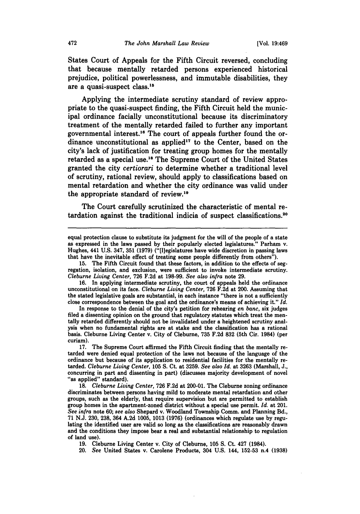States Court of Appeals for the Fifth Circuit reversed, concluding that because mentally retarded persons experienced historical prejudice, political powerlessness, and immutable disabilities, they are a quasi-suspect class.'8

Applying the intermediate scrutiny standard of review appropriate to the quasi-suspect finding, the Fifth Circuit held the municipal ordinance facially unconstitutional because its discriminatory treatment of the mentally retarded failed to further any important governmental interest.<sup>16</sup> The court of appeals further found the ordinance unconstitutional as applied<sup>17</sup> to the Center, based on the city's lack of justification for treating group homes for the mentally retarded as a special use.<sup>18</sup> The Supreme Court of the United States granted the city *certiorari* to determine whether a traditional level of scrutiny, rational review, should apply to classifications based on mental retardation and whether the city ordinance was valid under the appropriate standard of review."

The Court carefully scrutinized the characteristic of mental retardation against the traditional indicia of suspect classifications. <sup>20</sup>

**19.** Cleburne Living Center v. City of Cleburne, **105 S.** Ct. 427 (1984).

20. *See* United States v. Carolene Products, 304 U.S. 144, **152-53** n.4 **(1938)**

equal protection clause to substitute its judgment for the will of the people of a state as expressed in the laws passed by their popularly elected legislatures." Parham v. Hughes, 441 U.S. 347, 351 (1979) ("[l]egislatures that have the inevitable effect of treating some people differently from others").

**<sup>15.</sup>** The Fifth Circuit found that these factors, in addition to the effects of seg- regation, isolation, and exclusion, were sufficient to invoke intermediate scrutiny. *Cleburne Living Center,* **726** F.2d at **198-99.** *See also infra* note **29.**

**<sup>16.</sup>** In applying intermediate scrutiny, the court of appeals held the ordinance unconstitutional on its face. *Cleburne Living Center,* **726** F.2d at 200. Assuming that the stated legislative goals are substantial, in each instance "there is not a sufficiently close correspondence between the goal and the ordinance's means of achieving it." *Id.*

In response to the denial of the city's petition for rehearing *en banc,* six judges filed a dissenting opinion on the ground that regulatory statutes which treat the men- tally retarded differently should not be invalidated under a heightened scrutiny analysis when no fundamental rights are at stake and the classification has a rational basis. Cleburne Living Center v. City of Cleburne, **735** F.2d **832** (5th Cir. 1984) (per curiam).<br> $17.$ 

<sup>17.</sup> The Supreme Court affirmed the Fifth Circuit finding that the mentally re- tarded were denied equal protection of the laws not because of the language of the ordinance but because of its application to residential facilities for the mentally re- tarded. *Cleburne Living Center,* **105 S.** Ct. at **3259.** *See also Id.* at **3263** (Marshall, J., concurring in part and dissenting in part) (discusses majority development of novel "as applied" standard).

**<sup>18.</sup>** *Cleburne Living Center,* **726** F.2d at 200-01. The Cleburne zoning ordinance discriminates between persons having mild to moderate mental retardation and other groups, such as the elderly, that require supervision but are permitted to establish group homes in the apartment-zoned district without a special use permit. *Id.* at 201. *See infra* note **60;** *see also* Shepard v. Woodland Township Comm. and Planning Bd., 71 N.J. **230, 238,** 364 A.2d **1005,** 1013 **(1976)** (ordinances which regulate use by regulating the identified user are valid so long as the classifications are reasonably drawn and the conditions they impose bear a real and substantial relationship to regulation of land **use).**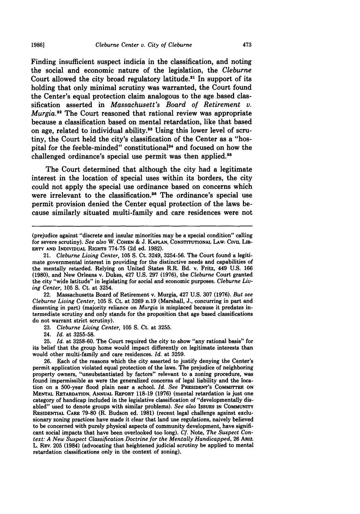Finding insufficient suspect indicia in the classification, and noting the social and economic nature of the legislation, the *Cleburne* Court allowed the city broad regulatory latitude.<sup>21</sup> In support of its holding that only minimal scrutiny was warranted, the Court found the Center's equal protection claim analogous to the age based classification asserted in *Massachusett's Board of Retirement v. Murgia.<sup>22</sup>* The Court reasoned that rational review was appropriate because a classification based on mental retardation, like that based on age, related to individual ability.<sup>23</sup> Using this lower level of scrutiny, the Court held the city's classification of the Center as a "hospital for the feeble-minded" constitutional<sup>24</sup> and focused on how the challenged ordinance's special use permit was then applied.<sup>25</sup>

The Court determined that although the city had a legitimate interest in the location of special uses within its borders, the city could not apply the special use ordinance based on concerns which were irrelevant to the classification.<sup>26</sup> The ordinance's special use permit provision denied the Center equal protection of the laws because similarly situated multi-family and care residences were not

22. Massachusetts Board of Retirement v. Murgia, 427 **U.S. 307 (1976).** *But see Cleburne Living Center,* **105 S.** Ct. at **3269** n.19 (Marshall, **J.,** concurring in part and dissenting in part) (majority reliance on *Murgia* is misplaced because it predates intermediate scrutiny and only stands for the proposition that age based classifications do not warrant strict scrutiny).

**23.** *Cleburne Living Center,* **105 S.** Ct. at **3255.**

24. *Id.* at **3255-58.**

**25.** *Id.* at **3258-60.** The Court required the city to show "any rational basis" for its belief that the group home would impact differently on legitimate interests than would other multi-family and care residences. *Id.* at **3259.**

**26.** Each of the reasons which the city asserted to justify denying the Center's permit application violated equal protection of the laws. The prejudice of neighboring property owners, "unsubstantiated **by** factors" relevant to a zoning procedure, was found impermissible as were the generalized concerns of legal liability and the location on a 500-year flood plain near a school. *Id. See* **PRESIDENT'S COMMITTEE ON MENTAL RETARDATION, ANNUAL REPORT 118-19 (1976)** (mental retardation is **just** one category of handicap included in the legislative classification of "developmentally disabled" used to denote groups with similar problems). *See also* **ISSUES IN COMMUNITY RESIDENTIAL CARE 79-80** (R. Budson **ed. 1981)** (recent legal challenge against exclusionary zoning practices have made it clear that land use regulations, naively believed to be concerned with purely physical aspects of community development, have significant social impacts that have been overlooked too long). *Cf.* Note, *The Suspect Context: A New Suspect Classification Doctrine for the Mentally Handicapped,* **26 ARiz.** L. REV. **205** (1984) (advocating that heightened judicial scrutiny be applied to mental retardation classifications only in the context of zoning).

<sup>(</sup>prejudice against "discrete and insular minorities may be a special condition" calling for severe scrutiny). *See also* W. **COHEN & J. KAPLAN, CONSTITUTIONAL LAW: CIVIL LIB-**ERTY **AND INDIVIDUAL RIGHTS 774-75 (2d ed. 1982).**

<sup>21.</sup> *Cleburne Living Center,* **105 S.** Ct. 3249, **3254-56.** The Court found a legitimate governmental interest in providing for the distinctive needs and capabilities of the mentally retarded. Relying on United States R.R. **Bd.** v. Fritz, 449 **U.S. 166 (1980),** and New Orleans v. Dukes, 427 **U.S. 297 (1976),** the *Cleburne* Court granted the city "wide latitude" in legislating for social and economic purposes. *Cleburne Living Center,* **105 S.** Ct. at 3254.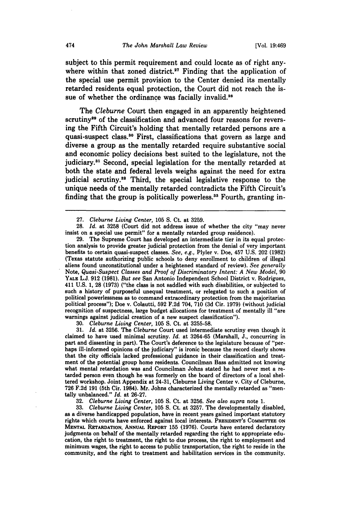subject to this permit requirement and could locate as of right anywhere within that zoned district.<sup>27</sup> Finding that the application of the special use permit provision to the Center denied its mentally retarded residents equal protection, the Court did not reach the issue of whether the ordinance was facially invalid.<sup>28</sup>

The *Cleburne* Court then engaged in an apparently heightened scrutiny<sup>29</sup> of the classification and advanced four reasons for reversing the Fifth Circuit's holding that mentally retarded persons are a quasi-suspect class.<sup>30</sup> First, classifications that govern as large and diverse a group as the mentally retarded require substantive social and economic policy decisions best suited to the legislature, not the judiciary.<sup>31</sup> Second, special legislation for the mentally retarded at both the state and federal levels weighs against the need for extra judicial scrutiny.<sup>32</sup> Third, the special legislative response to the unique needs of the mentally retarded contradicts the Fifth Circuit's finding that the group is politically powerless.<sup>33</sup> Fourth, granting in-

**30.** *Cleburne Living Center,* **105 S.** Ct. at **3255-58.**

**31.** *Id.* at **3256.** The *Cleburne* Court used intermediate scrutiny even though it claimed to have used minimal scrutiny. *Id.* at **3264-65** (Marshall, **J.,** concurring in part and dissenting in part). The Court's deference to the legislature because of "perhaps ill-informed opinions of the judiciary" is ironic because the record clearly shows that the city officials lacked professional guidance in their classification and treatment of the potential group home residents. Councilman Bass admitted not knowing what mental retardation was and Councilman Johns stated he had never met a retarded person even though he was formerly on the board of directors of a local sheltered workshop. Joint Appendix at 24-31, Cleburne Living Center v. City of Cleburne, **726 F.2d 191** (5th Cir. 1984). Mr. Johns characterized the mentally retarded as "mentally unbalanced." *Id.* at **26-27.**

**32.** *Cleburne Living Center,* **105 S.** Ct. at **3256.** *See also supra* note **1.**

**33.** *Cleburne Living Center,* **105 S.** Ct. at **3257.** The developmentally disabled, as a diverse handicapped population, have in recent years gained important statutory rights which courts have enforced against local interests. **PRESIDENT'S COMMITTEE ON MENTAL RETARDATION, ANNUAL** REPORT **155 (1976).** Courts have entered declaratory judgments on behalf of the mentally retarded regarding the right to appropriate education, the right to treatment, the right to due process, the right to employment and minimum wages, the right to access to public transportation, the right to reside in the community, and the right to treatment and habilitation services in the community.

**<sup>27.</sup>** *Cleburne Living Center,* **105 S.** Ct. at **3259.**

**<sup>28.</sup>** *Id.* at **3258** (Court did not address issue of whether the city "may never insist on a special use permit" for a mentally retarded group residence).

**<sup>29.</sup>** The Supreme Court has developed an intermediate tier in its equal protection analysis to provide greater judicial protection from the denial of very important benefits to certain quasi-suspect classes. *See, e.g.,* Plyler v. Doe, 457 **U.S.** 202 **(1982)** (Texas statute authorizing public schools to deny enrollment to children of illegal aliens found unconstitutional under a heightened standard of review). *See generally* Note, *Quasi-Suspect Classes and Proof of Discriminatory Intent: A New Model,* **90 YALE L.J. 912 (1981).** *But see* San Antonio Independent School District v. Rodriguez, 411 **U.S. 1, 28 (1973)** ("the class is not saddled with such disabilities, or subjected to such a history of purposeful unequal treatment, or relegated to such a position of political powerlessness as to command extraordinary protection from the majoritarian political process"); Doe v. Colautti, **592 F.2d** 704, **710 (3d** Cir. **1979)** (without judicial recognition of suspectness, large budget allocations for treatment of mentally ill "are warnings against judicial creation of a new suspect classification").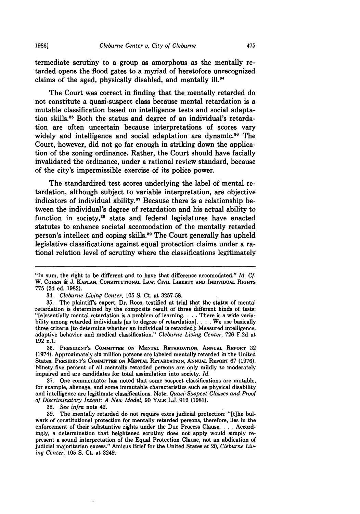termediate scrutiny to a group as amorphous as the mentally retarded opens the flood gates to a myriad of heretofore unrecognized claims of the aged, physically disabled, and mentally ill.<sup>34</sup>

The Court was correct in finding that the mentally retarded do not constitute a quasi-suspect class because mental retardation is a mutable classification based on intelligence tests and social adaptation skills.<sup>35</sup> Both the status and degree of an individual's retardation are often uncertain because interpretations of scores vary widely and intelligence and social adaptation are dynamic.<sup>36</sup> The Court, however, did not go far enough in striking down the application of the zoning ordinance. Rather, the Court should have facially invalidated the ordinance, under a rational review standard, because of the city's impermissible exercise of its police power.

The standardized test scores underlying the label of mental retardation, although subject to variable interpretation, are objective indicators of individual ability.<sup>37</sup> Because there is a relationship between the individual's degree of retardation and his actual ability to function in society,<sup>38</sup> state and federal legislatures have enacted statutes to enhance societal accomodation of the mentally retarded person's intellect and coping skills.<sup>39</sup> The Court generally has upheld legislative classifications against equal protection claims under a rational relation level of scrutiny where the classifications legitimately

**36. PRESIDENT'S COMMITTEE ON MENTAL RETARDATION, ANNUAL REPORT 32** (1974). Approximately six million persons are labeled mentally retarded in the United States. **PRESIDENT'S COMMITTEE ON MENTAL RETARDATION, ANNUAL REPORT 67 (1976).** Ninety-five percent of all mentally retarded persons are only mildly to moderately impaired and are candidates for total assimilation into society. *Id.*

**37.** One commentator has noted that some suspect classifications are mutable, for example, alienage, and some immutable characteristics such as physical disability and intelligence are legitimate classifications. Note, *Quasi-Suspect Classes and Proof of Discriminatory Intent: A New Model,* **90 YALE L.J. 912 (1981).**

**38.** *See infra* note 42.

**39.** The mentally retarded do not require extra judicial protection: "[tihe bulwark of constitutional protection for mentally retarded persons, therefore, lies in the enforcement of their substantive rights under the Due Process Clause. . **.** .Accordingly, a determination that heightened scrutiny does not apply would simply represent a sound interpretation of the Equal Protection Clause, not an abdication of judicial majoritarian excess." Amicus Brief for the United States at 20, *Cleburne Living Center,* **105 S.** Ct. at 3249.

<sup>&</sup>quot;In sum, the right to be different and to have that difference accomodated." *Id. Cf.* W. **COHEN** *&* **J. KAPLAN, CONSTITUTIONAL LAW: CIVIL LIBERTY AND INDIVIDUAL RIGHTS 775 (2d** ed. **1982).**

<sup>34.</sup> *Cleburne Living Center,* **105 S.** Ct. at **3257-58.**

**<sup>35.</sup>** The plaintiff's expert, Dr. Roos, testified at trial that the status of mental retardation is determined **by** the composite result of three different kinds of tests: "[e]ssentially mental retardation is a problem of learning **....** There is a wide variability among retarded individuals [as to degree of retardation]. . . . We use basically three criteria [to determine whether an individual is retarded]: Measured intelligence, adaptive behavior and medical classification." *Cleburne Living Center,* **726 F.2d** at **192** n.1.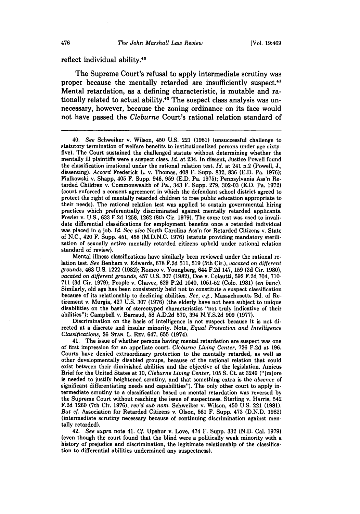#### reflect individual ability.<sup>40</sup>

The Supreme Court's refusal to apply intermediate scrutiny was proper because the mentally retarded are insufficiently suspect.<sup>41</sup> Mental retardation, as a defining characteristic, is mutable and rationally related to actual ability.<sup>42</sup> The suspect class analysis was unnecessary, however, because the zoning ordinance on its face would not have passed the *Cleburne* Court's rational relation standard of

40. *See* Schweiker v. Wilson, 450 **U.S.** 221 **(1981)** (unsuccessful challenge to statutory termination of welfare benefits to institutionalized persons under age sixty- five). The Court sustained the challenged statute without determining whether the mentally ill plaintiffs were a suspect class. *Id.* at 234. In dissent, Justice Powell found the classification irrational under the rational relation test. *Id.* at 241 n.2 (Powell, **J.,** dissenting). Accord Frederick L. v. Thomas, 408 F. Supp. **832, 836 (E.D.** Pa. **1976);** Fialkowski v. Shapp, 405 F. Supp. 946, **959 (E.D.** Pa. **1975);** Pennsylvania Ass'n Retarded Children v. Commonwealth of Pa., 343 F. Supp. **279, 302-03 (E.D.** Pa. **1972)** (court enforced a consent agreement in which the defendant school district agreed to protect the right of mentally retarded children to free public education appropriate to their needs). The rational relation test was applied to sustain governmental hiring practices which preferentially discriminated against mentally retarded applicants. Fowler v. **U.S., 633 F.2d 1258, 1262** (8th Cir. **1979).** The same test was used to invalidate differential classifications for employment benefits once a retarded individual was placed in a **job.** *Id. See also* North Carolina Ass'n for Retarded Citizens v. State of **N.C.,** 420 F. Supp. 451, 458 **(M.D.N.C. 1976)** (statute providing mandatory sterilization of sexually active mentally retarded citizens upheld under rational relation standard of review).

Mental illness classifications have similarly been reviewed under the rational relation test. *See* Benham v. Edwards, **678 F.2d 511, 519** (5th Cir.), *vacated on different grounds,* 463 **U.S.** 1222 **(1982);** Romeo v. Youngberg, 644 **F.2d** 147, **159 (3d** Cir. **1980),** *vacated on different grounds,* 457 **U.S. 307 (1982),** Doe v. Colautti, **592 F.2d** 704, **710- 711 (3d** Cir. **1979);** People v. Chavez, **629 P.2d** 1040, **1051-52** (Colo. **1981)** *(en banc).* Similarly, old age has been consistently held not to constitute a suspect classification because of its relationship to declining abilities. *See, e.g.,* Massachusetts Bd. of Retirement v. Murgia, 427 **U.S. 307 (1976)** (the elderly have not been subject to unique disabilities on the basis of stereotyped characteristics "not truly indicative of their abilities"); Campbell v. Barraud, **58 A.D.2d 570,** 394 **N.Y.S.2d 909 (1977).**

Discrimination on the basis of intelligence is not suspect because it is not directed at a discrete and insular minority. Note, *Equal Protection and Intelligence Classifications,* **26 STAN.** L. REV. 647, **655** (1974).

41. The issue of whether persons having mental retardation are suspect was one of first impression for an appellate court. *Cleburne Living Center,* **726 F.2d** at **196.** Courts have denied extraordinary protection to the mentally retarded, as well as other developmentally disabled groups, because of the rational relation that could exist between their diminished abilities and the objective of the legislation. Amicus Brief for the United States at **10,** *Cleburne Living Center,* **105 S.** Ct. at 3249 ("[mlore is needed to justify heightened scrutiny, and that something extra is the *absence* of significant differentiating needs and capabilities"). The only other court to apply intermediate scrutiny to a classification based on mental retardation was reversed **by** the Supreme Court without reaching the issue of suspectness. Sterling v. Harris, 542 **F.2d 1260** (7th Cir. **1976),** *rev'd sub nom.* Schweiker v. Wilson, 450 **U.S.** 221 **(1981).** But *cf.* Association for Retarded Citizens v. Olson, **561** F. Supp. 473 **(D.N.D. 1982)** (intermediate scrutiny necessary because of continuing discrimination against mentally retarded).

42. *See supra* note 41. *Cf.* Upshur v. Love, 474 F. Supp. **332 (N.D.** Cal. **1979)** (even though the court found that the blind were a politically weak minority with a history of prejudice and discrimination, the legitimate relationship of the classification to differential abilities undermined any suspectness).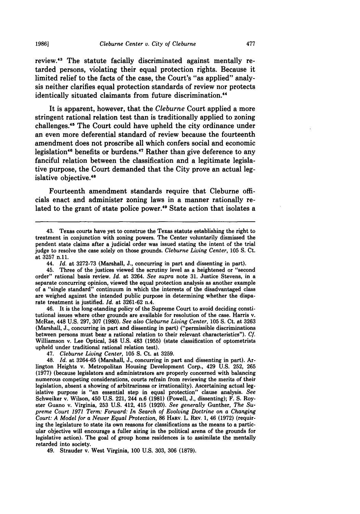review.<sup>43</sup> The statute facially discriminated against mentally retarded persons, violating their equal protection rights. Because it limited relief to the facts of the case, the Court's "as applied" analysis neither clarifies equal protection standards of review nor protects identically situated claimants from future discrimination.<sup>44</sup>

It is apparent, however, that the *Cleburne* Court applied a more stringent rational relation test than is traditionally applied to zoning challenges. 45 The Court could have upheld the city ordinance under an even more deferential standard of review because the fourteenth amendment does not proscribe all which confers social and economic legislation<sup>46</sup> benefits or burdens.<sup>47</sup> Rather than give deference to any fanciful relation between the classification and a legitimate legislative purpose, the Court demanded that the City prove an actual legislative objective.<sup>48</sup>

Fourteenth amendment standards require that Cleburne officials enact and administer zoning laws in a manner rationally related to the grant of state police power.<sup>49</sup> State action that isolates a

46. It is the long-standing policy of the Supreme Court to avoid deciding constitutional issues where other grounds are available for resolution of the case. Harris v. McRae, 448 **U.S. 297, 307 (1980).** *See also Cleburne Living Center,* **105 S.** Ct. at **3263** (Marshall, **J.,** concurring in part and dissenting in part) ("permissible discriminations between persons must bear a rational relation to their relevant characteristics"). *Cf.* Williamson v. Lee Optical, 348 **U.S.** 483 **(1955)** (state classification of optometrists upheld under traditional rational relation test).

47. *Cleburne Living Center,* **105 S.** Ct. at **3259.**

49. Strauder v. West Virginia, **100 U.S. 303, 306 (1879).**

<sup>43.</sup> Texas courts have yet to construe the Texas statute establishing the right to treatment in conjunction with zoning powers. The Center voluntarily dismissed the pendent state claims after a judicial order was issued stating the intent of the trial judge to resolve the case solely on those grounds. *Cleburne Living Center,* **105 S.** Ct. at **3257 n.11.**

<sup>44.</sup> *Id.* at **3272-73** (Marshall, **J.,** concurring in part and dissenting in part).

<sup>45.</sup> Three of the justices viewed the scrutiny level as a heightened or "second order" rational basis review. *Id.* at 3264. *See supra* note **31.** Justice Stevens, in a separate concurring opinion, viewed the equal protection analysis as another example of a "single standard" continuum in which the interests of the disadvantaged class are weighed against the intended public purpose in determining whether the disparate treatment is justified. *Id.* at **3261-62** n.4.

<sup>48.</sup> *Id.* at **3264-65** (Marshall, **J.,** concurring in part and dissenting in part). Arlington Heights v. Metropolitan Housing Development Corp., 429 **U.S. 252, 265 (1977)** (because legislators and administrators are properly concerned with balancing numerous competing considerations, courts refrain from reviewing the merits of their legislation, absent a showing of arbitrariness or irrationality). Ascertaining actual legislative purpose is "an essential step in equal protection" clause analysis. *See* Schweiker v. Wilson, 450 **U.S.** 221, 244 n.6 **(1981)** (Powell, **J.,** dissenting); F. **S.** Royster Guano v. Virginia, **253 U.S.** 412, 415 **(1920).** *See generally* Gunther, *The Supreme Court 1971 Term: Forward: In Search of Evolving Doctrine on a Changing Court: A Model for a Newer Equal Protection,* **86 HARv. L. REV. 1,** 46 **(1972)** (requiring the legislature to state its own reasons for classifications as the means to a particular objective will encourage a fuller airing in the political arena of the grounds for legislative action). The goal of group home residences is to assimilate the mentally retarded into society.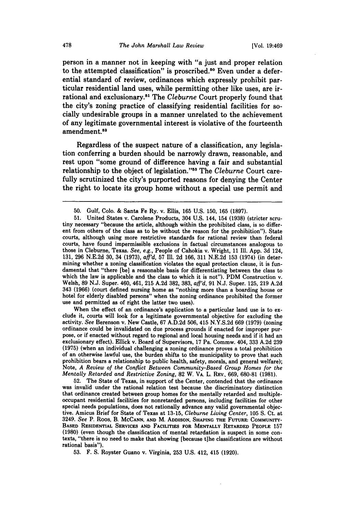person in a manner not in keeping with "a just and proper relation to the attempted classification" is proscribed.<sup>50</sup> Even under a deferential standard of review, ordinances which expressly prohibit particular residential land uses, while permitting other like uses, are irrational and exclusionary.<sup>51</sup> The *Cleburne* Court properly found that the city's zoning practice of classifying residential facilities for socially undesirable groups in a manner unrelated to the achievement of any legitimate governmental interest is violative of the fourteenth amendment.<sup>52</sup>

Regardless of the suspect nature of a classification, any legislation conferring a burden should be narrowly drawn, reasonable, and rest upon "some ground of difference having a fair and substantial relationship to the object of legislation."5 The *Cleburne* Court carefully scrutinized the city's purported reasons for denying the Center the right to locate its group home without a special use permit and

When the effect of an ordinance's application to a particular land use is to ex-<br>clude it, courts will look for a legitimate governmental objective for excluding the activity. *See* Berenson v. New Castle, **67 A.D.2d 506,** 415 **N.Y.S.2d 669 (1979)** (zoning ordinance could be invalidated on due process grounds if enacted for improper purpose, or if enacted without regard to regional and local housing needs and if it had an exclusionary effect). Ellick v. Board of Supervisors, **17** Pa. Commw. 404, **333 A.2d 239 (1975)** (when an individual challenging a zoning ordinance proves a total prohibition of an otherwise lawful use, the burden shifts to the municipality to prove that such prohibition bears a relationship to public health, safety, morals, and general welfare); Note, *A Review of the Conflict Between Community-Based Group Homes for the Mentally Retarded and Restrictive Zoning,* **82** W. VA. L. **REV., 669, 680-81 (1981).**

52. The State of Texas, in support of the Center, contended that the ordinance was invalid under the rational relation test because the discriminatory distinction that ordinance created between group homes for the mentally retarded and multipleoccupant residential facilities for nonretarded persons, including facilities for other special needs populations, does not rationally advance any valid governmental objective. Amicus Brief for State of Texas at **13-15,** *Cleburne Living Center,* **105 S.** Ct. at 3249. *See* P. Roos, B. **MCCANN, AND** M. **ADDISON, SHAPING** THE **FUTURE: COMMUNITY-BASED RESIDENTIAL SERVICES AND FACILITIES** FOR **MENTALLY** RETARDED PEOPLE **157 (1980)** (even though the classification of mental retardation is suspect in some con- texts, "there is no need to make that showing [because t]he classifications are without rational basis").

**53.** F. **S.** Royster Guano v. Virginia, **253 U.S.** 412, 415 **(1920).**

**<sup>50.</sup>** Gulf, **Colo. &** Santa Fe Ry. v. Ellis, **165 U.S. 150, 165 (1897).**

**<sup>51.</sup>** United States v. Carolene Products, 304 **U.S.** 144, 154 **(1938)** (stricter scru- tiny necessary "because the article, although within the prohibited class, is so different from others of the class as to be without the reason for the prohibition"). State courts, although using more restrictive standards for rational review than federal courts, have found impermissible exclusions in factual circumstances analogous to those in Cleburne, Texas. *See, e.g.,* People of Cahokia v. Wright, **11** Ill. **App. 3d** 124, **131, 296 N.E.2d 30,** 34 **(1973),** *aff'd,* **57 Ill. 2d 166, 311 N.E.2d 153** (1974) (in determining whether a zoning classification violates the equal protection clause, it is fundamental that "there [be] a reasonable basis for differentiating between the class to which the law is applicable and the class to which it is not"). PDM Construction v. which the law is applicable and the class to which it is not"). PDM Construction v. Welsh, **89 N.J.** Super. 460, 461, **215 A.2d 382, 383,** *aff'd,* **91 N.J.** Super. **125, 219 A.2d** <sup>343</sup>**(1966)** (court defined nursing home as "nothing more than a boarding house or hotel for elderly disabled persons" when the zoning ordinance prohibited the former use and permitted as of right the latter two uses).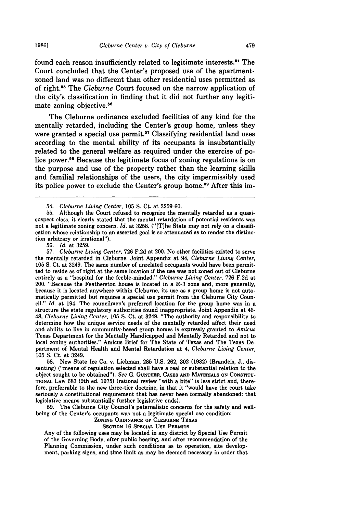found each reason insufficiently related to legitimate interests.<sup>54</sup> The Court concluded that the Center's proposed use of the apartmentzoned land was no different than other residential uses permitted as of right.<sup>55</sup> The *Cleburne* Court focused on the narrow application of the city's classification in finding that it did not further any legitimate zoning objective.<sup>56</sup>

The Cleburne ordinance excluded facilities of any kind for the mentally retarded, including the Center's group home, unless they were granted a special use permit.<sup>57</sup> Classifying residential land uses according to the mental ability of its occupants is insubstantially related to the general welfare as required under the exercise of police power.<sup>58</sup> Because the legitimate focus of zoning regulations is on the purpose and use of the property rather than the learning skills and familial relationships of the users, the city impermissibly used its police power to exclude the Center's group home."9 After this im-

56. *Id.* at 3259.

57. *Cleburne Living Center,* 726 F.2d at 200. No other facilities existed to serve the mentally retarded in Cleburne. Joint Appendix at 94, *Cleburne Living Center,* 105 S. Ct. at 3249. The same number of unrelated occupants would have been permitted to reside as of right at the same location if the use was not zoned out of Cleburne entirely as a "hospital for the feeble-minded." *Cleburne Living Center,* 726 F.2d at 200. "Because the Featherston house is located in a R-3 zone and, more generally, because it is located anywhere within Cleburne, its use as a group home is not automatically permitted but requires a special use permit from the Cleburne City Council." *Id.* at 194. The councilmen's preferred location for the group home was in a structure the state regulatory authorities found inappropriate. Joint Appendix at 46- 48, *Cleburne Living Center,* 105 **S.** Ct. at 3249. "The authority and responsibility to determine how the unique service needs of the mentally retarded affect their need and ability to live in community-based group homes is expressly granted to *Amicus* Texas Department for the Mentally Handicapped and Mentally Retarded and not to local zoning authorities." Amicus Brief for The State of Texas and The Texas Department of Mental Health and Mental Retardation at 4, *Cleburne Living Center,* 105 S. Ct. at 3249.

58. New State Ice Co. v. Liebman, **285** U.S. 262, 302 (1932) (Brandeis, J., dissenting) ("means of regulation selected shall have a real or substantial relation to the object sought to be obtained"). *See* **G.** GUNTHER, CASES AND MATERIALS ON CONSTITU-**TIONAL** LAw 683 (9th ed. 1975) (rational review "with a bite" is less strict and, therefore, preferrable to the new three-tier doctrine, in that it "would have the court take seriously a constitutional requirement that has never been formally abandoned: that legislative means substantially further legislative ends).

59. The Cleburne City Council's paternalistic concerns for the safety and wellbeing of the Center's occupants was not a legitimate special use condition:

**ZONING ORDINANCE OF CLEBURNE TEXAS**

**SECTION** 16 SPECIAL **USE** PERMITS

Any of the following uses may be located in any district **by** Special Use Permit of the Governing Body, after public hearing, and after recommendation **of** the Planning Commission, under such conditions as to operation, site development, parking signs, and time limit as may be deemed necessary in order that

<sup>54.</sup> *Cleburne Living Center,* 105 S. Ct. at 3259-60.

<sup>55.</sup> Although the Court refused to recognize the mentally retarded as a quasisuspect class, it clearly stated that the mental retardation of potential residents was not a legitimate zoning concern. *Id.* at 3258. ("(T]he State may not rely on a classification whose relationship to an asserted goal is so attenuated as to render the distinction arbitrary or irrational").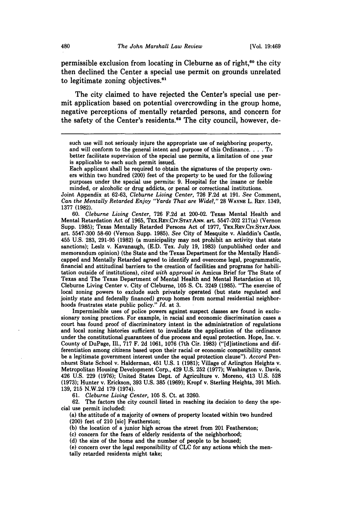permissible exclusion from locating in Cleburne as of right, $60$  the city then declined the Center a special use permit on grounds unrelated to legitimate zoning objectives.<sup>61</sup>

The city claimed to have rejected the Center's special use permit application based on potential overcrowding in the group home, negative perceptions of mentally retarded persons, and concern for the safety of the Center's residents.<sup>62</sup> The city council, however, de-

Each applicant shall be required to obtain the signatures of the property owners within two hundred (200) feet of the property to be used for the following purposes under the special use permits: 9. Hospital for the insane or feeble minded, or alcoholic or drug addicts, or penal or correctional institutions.

Joint Appendix at 62-63, *Cleburne Living Center,* 726 F.2d at 191. *See* Comment, *Can the Mentally Retarded Enjoy "Yards That are Wide?,"* 28 WAYNE L. REV. 1349, 1377 **(1982).**

60. *Cleburne Living Center,* 726 F.2d at 200-02. Texas Mental Health and Mental Retardation Act of 1965, TEX.REV.CIV.STAT.ANN. art. 5547-202 217(a) (Vernon Supp. 1985); Texas Mentally Retarded Persons Act of 1977, TEx.REv.Cv.STAT.ANN. art. 5547-300 58-60 (Vernon Supp. 1985). *See* City of Mesquite v. Aladdin's Castle, 455 U.S. 283, 291-95 (1982) (a municipality may not prohibit an activity that state sanctions); Leslz v. Kavanaugh, (E.D. Tex. July 19, 1983) (unpublished order and memorandum opinion) (the State and the Texas Department for the Mentally Handicapped and Mentally Retarded agreed to identify and overcome legal, programmatic, financial and attitudinal barriers to the creation of facilities and programs for habilitation outside of institutions), *cited with approval in* Amicus Brief for The State of Texas and The Texas Department of Mental Health and Mental Retardation at 10, Cleburne Living Center v. City of Cleburne, 105 S. Ct. 3249 (1985). "The exercise of local zoning powers to exclude such privately operated (but state regulated and jointly state and federally financed) group homes from normal residential neighborhoods frustrates state public policy." *Id.* at 3.

Impermissible uses of police powers against suspect classes are found in exclusionary zoning practices. For example, in racial and economic discrimination cases a court has found proof of discriminatory intent in the administration of regulations and local zoning histories sufficient to invalidate the application of the ordinance under the constitutional guarantees of due process and equal protection. Hope, Inc. v. County of DuPage, Ill., 717 F. 2d 1061, 1076 (7th Cir. **1983)** ("[d]istinctions and differentiation among citizens based upon their racial or economic compatibility cannot be a legitimate government interest under the equal protection clause"). *Accord* Pennhurst State School v. Halderman, 451 U.S. 1 (1981); Village of Arlington Heights v. Metropolitan Housing Development Corp., 429 U.S. 252 (1977); Washington v. Davis, 426 U.S. 229 (1976); United States Dept. of Agriculture v. Moreno, 413 U.S. 528 (1973); Hunter v. Erickson, 393 U.S. **385** (1969); Kropf v. Sterling Heights, 391 Mich. 139, 215 N.W.2d 179 (1974).

61. *Cleburne Living Center,* 105 S. Ct. at 3260.

62. The factors the city council listed in reaching its decision to deny the special use permit included:

(a) the attitude of a majority of owners of property located within two hundred (200) feet of 210 [sic] Featherston;

**(b)** the location of a junior high across the street from 201 Featherston;

(c) concern for the fears of elderly residents of the neighborhood;

**(d)** the size of the home and the number of people to be housed;

(e) concern over the legal responsibility of CLC for any actions which the mentally retarded residents might take;

such use will not seriously injure the appropriate use of neighboring property, and will conform to the general intent and purpose of this Ordinance **....** To better facilitate supervision of the special use permits, a limitation of one year is applicable to each such permit issued.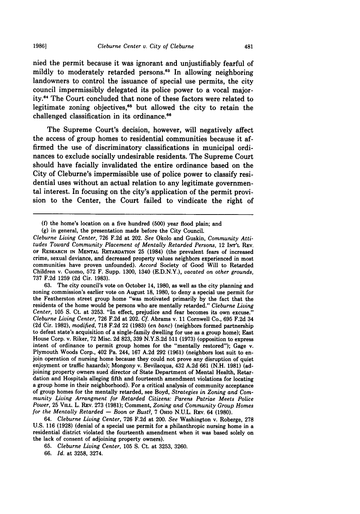nied the permit because it was ignorant and unjustifiably fearful of mildly to moderately retarded persons.<sup>83</sup> In allowing neighboring landowners to control the issuance of special use permits, the city council impermissibly delegated its police power to a vocal majority. 4 The Court concluded that none of these factors were related to legitimate zoning objectives, $65$  but allowed the city to retain the challenged classification in its ordinance.<sup>66</sup>

The Supreme Court's decision, however, will negatively affect the access of group homes to residential communities because it affirmed the use of discriminatory classifications in municipal ordinances to exclude socially undesirable residents. The Supreme Court should have facially invalidated the entire ordinance based on the City of Cleburne's impermissible use of police power to classify residential uses without an actual relation to any legitimate governmental interest. In focusing on the city's application of the permit provision to the Center, the Court failed to vindicate the right of

**(g)** in general, the presentation made before the City Council.

*Cleburne Living Center,* **726 F.2d** at 202. *See* Okolo and Guskin, *Community Attitudes Toward Community Placement of Mentally Retarded Persons,* <sup>12</sup>**INT'L REV. OF RESEARCH IN MENTAL RETARDATION 25** (1984) (the prevalent fears of increased crime, sexual deviance, and decreased property values neighbors experienced in most communities have proven unfounded). *Accord* Society of Good Will to Retarded Children v. Cuomo, **572** F. Supp. 1300, 1340 (E.D.N.Y.), *vacated on other grounds,* **737** F.2d **1259 (2d** Cir. **1983).**

**63.** The city council's vote on October 14, **1980,** as well as the city planning and zoning commission's earlier vote on August 18, 1980, to deny a special use permit for the Featherston street group home "was motivated primarily by the fact that the residents of the home would be persons who are mentally retarded." *Cleburne Living Center,* **105 S.** Ct. at **3253.** "In effect, prejudice and fear becomes its own excuse." *Cleburne Living Center,* **726** F.2d at 202. *Cf.* Abrams v. 11 Cornwell Co., **695** F.2d 34 **(2d** Cir. **1982),** *modified,* **718** F.2d 22 **(1983)** *(en banc)* (neighbors formed partnership to defeat state's acquisition of a single-family dwelling for use as a group home); East House Corp. v. Riker, **72** Misc. **2d 823, 339** N.Y.S.2d **511 (1973)** (opposition to express intent of ordinance to permit group homes for the "mentally restored"); Gage v. Plymouth Woods Corp., 402 Pa. 244, **167** A.2d **292 (1961)** (neighbors lost suit to enjoin operation of nursing home because they could not prove any disruption of quiet enjoyment or traffic hazards); Mongony v. Bevilacqua, 432 A.2d **661** (N.H. **1981)** (adjoining property owners sued director of State Department of Mental Health, Retardation and Hospitals alleging fifth and fourteenth amendment violations for locating a group home in their neighborhood). For a critical analysis of community acceptance of group homes for the mentally retarded, see Boyd, *Strategies in Zoning and Community Living Arrangment for Retarded Citizens: Parens Patriae Meets Police Power,* 25 **VILL.** L. REV. 273 (1981); Comment, *Zoning and Community Group Homes for the Mentally Retarded* **-** *Boon or Bust?,* 7 OHIO **N.U.L.** REV. 64 (1980).

64. *Cleburne Living Center,* 726 F.2d at 200. *See* Washington v. Roberge, **278** U.S. 116 (1928) (denial of a special use permit for a philanthropic nursing home in a residential district violated the fourteenth amendment when it was based solely on the lack of consent of adjoining property owners).

- 65. *Cleburne Living Center,* 105 **S.** Ct. at 3253, 3260.
- 66. *Id.* at 3258, 3274.

**<sup>(</sup>f)** the home's location on a five hundred **(500)** year flood plain; and